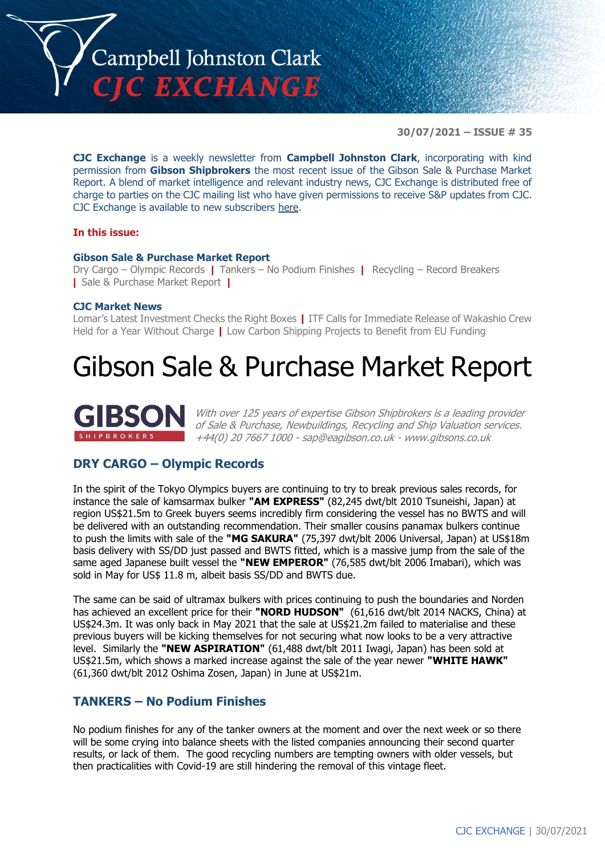

**30/07/2021 – ISSUE # 35**

**CJC Exchange** is a weekly newsletter from **Campbell Johnston Clark**, incorporating with kind permission from **Gibson Shipbrokers** the most recent issue of the Gibson Sale & Purchase Market Report. A blend of market intelligence and relevant industry news, CJC Exchange is distributed free of charge to parties on the CJC mailing list who have given permissions to receive S&P updates from CJC. CJC Exchange is available to new subscribers [here.](mailto:jamesc@cjclaw.com?subject=CJC%20Exchange%20sign-up)

#### **In this issue:**

#### **Gibson Sale & Purchase Market Report**

Dry Cargo – Olympic Records **|** Tankers – No Podium Finishes **|** Recycling – Record Breakers **|** Sale & Purchase Market Report **|**

#### **CJC Market News**

Lomar's Latest Investment Checks the Right Boxes **|** ITF Calls for Immediate Release of Wakashio Crew Held for a Year Without Charge **|** Low Carbon Shipping Projects to Benefit from EU Funding

# Gibson Sale & Purchase Market Report



With over 125 years of expertise Gibson Shipbrokers is a leading provider of Sale & Purchase, Newbuildings, Recycling and Ship Valuation services. +44(0) 20 7667 1000 - [sap@eagibson.co.uk](mailto:sap@eagibson.co.uk) - [www.gibsons.co.uk](https://protect-eu.mimecast.com/s/VO6nCGZzRS60KqcK1jQh/)

## **DRY CARGO – Olympic Records**

In the spirit of the Tokyo Olympics buyers are continuing to try to break previous sales records, for instance the sale of kamsarmax bulker **"AM EXPRESS"** (82,245 dwt/blt 2010 Tsuneishi, Japan) at region US\$21.5m to Greek buyers seems incredibly firm considering the vessel has no BWTS and will be delivered with an outstanding recommendation. Their smaller cousins panamax bulkers continue to push the limits with sale of the **"MG SAKURA"** (75,397 dwt/blt 2006 Universal, Japan) at US\$18m basis delivery with SS/DD just passed and BWTS fitted, which is a massive jump from the sale of the same aged Japanese built vessel the **"NEW EMPEROR"** (76,585 dwt/blt 2006 Imabari), which was sold in May for US\$ 11.8 m, albeit basis SS/DD and BWTS due.

The same can be said of ultramax bulkers with prices continuing to push the boundaries and Norden has achieved an excellent price for their **"NORD HUDSON"** (61,616 dwt/blt 2014 NACKS, China) at US\$24.3m. It was only back in May 2021 that the sale at US\$21.2m failed to materialise and these previous buyers will be kicking themselves for not securing what now looks to be a very attractive level. Similarly the **"NEW ASPIRATION"** (61,488 dwt/blt 2011 Iwagi, Japan) has been sold at US\$21.5m, which shows a marked increase against the sale of the year newer **"WHITE HAWK"** (61,360 dwt/blt 2012 Oshima Zosen, Japan) in June at US\$21m.

## **TANKERS – No Podium Finishes**

No podium finishes for any of the tanker owners at the moment and over the next week or so there will be some crying into balance sheets with the listed companies announcing their second quarter results, or lack of them. The good recycling numbers are tempting owners with older vessels, but then practicalities with Covid-19 are still hindering the removal of this vintage fleet.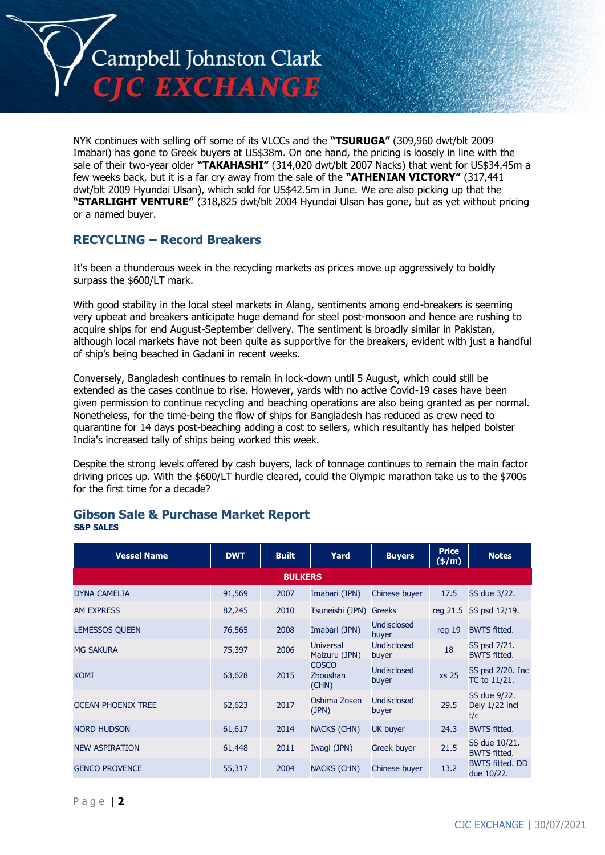

NYK continues with selling off some of its VLCCs and the **"TSURUGA"** (309,960 dwt/blt 2009 Imabari) has gone to Greek buyers at US\$38m. On one hand, the pricing is loosely in line with the sale of their two-year older **"TAKAHASHI"** (314,020 dwt/blt 2007 Nacks) that went for US\$34.45m a few weeks back, but it is a far cry away from the sale of the **"ATHENIAN VICTORY"** (317,441 dwt/blt 2009 Hyundai Ulsan), which sold for US\$42.5m in June. We are also picking up that the **"STARLIGHT VENTURE"** (318,825 dwt/blt 2004 Hyundai Ulsan has gone, but as yet without pricing or a named buyer.

# **RECYCLING – Record Breakers**

It's been a thunderous week in the recycling markets as prices move up aggressively to boldly surpass the \$600/LT mark.

With good stability in the local steel markets in Alang, sentiments among end-breakers is seeming very upbeat and breakers anticipate huge demand for steel post-monsoon and hence are rushing to acquire ships for end August-September delivery. The sentiment is broadly similar in Pakistan, although local markets have not been quite as supportive for the breakers, evident with just a handful of ship's being beached in Gadani in recent weeks.

Conversely, Bangladesh continues to remain in lock-down until 5 August, which could still be extended as the cases continue to rise. However, yards with no active Covid-19 cases have been given permission to continue recycling and beaching operations are also being granted as per normal. Nonetheless, for the time-being the flow of ships for Bangladesh has reduced as crew need to quarantine for 14 days post-beaching adding a cost to sellers, which resultantly has helped bolster India's increased tally of ships being worked this week.

Despite the strong levels offered by cash buyers, lack of tonnage continues to remain the main factor driving prices up. With the \$600/LT hurdle cleared, could the Olympic marathon take us to the \$700s for the first time for a decade?

| <b>Vessel Name</b>        | <b>DWT</b> | <b>Built</b> | Yard                                     | <b>Buyers</b>               | <b>Price</b><br>(\$/m) | <b>Notes</b>                          |  |
|---------------------------|------------|--------------|------------------------------------------|-----------------------------|------------------------|---------------------------------------|--|
| <b>BULKERS</b>            |            |              |                                          |                             |                        |                                       |  |
| <b>DYNA CAMELIA</b>       | 91,569     | 2007         | Imabari (JPN)                            | Chinese buyer               | 17.5                   | SS due 3/22.                          |  |
| <b>AM EXPRESS</b>         | 82,245     | 2010         | Tsuneishi (JPN)                          | Greeks                      | reg 21.5               | SS psd 12/19.                         |  |
| <b>LEMESSOS QUEEN</b>     | 76,565     | 2008         | Imabari (JPN)                            | Undisclosed<br>buyer        | reg 19                 | <b>BWTS fitted.</b>                   |  |
| <b>MG SAKURA</b>          | 75,397     | 2006         | <b>Universal</b><br>Maizuru (JPN)        | <b>Undisclosed</b><br>buyer | 18                     | SS psd 7/21.<br><b>BWTS fitted.</b>   |  |
| <b>KOMI</b>               | 63,628     | 2015         | <b>COSCO</b><br><b>Zhoushan</b><br>(CHN) | Undisclosed<br>buyer        | <b>xs 25</b>           | $SS$ psd $2/20$ . Inc<br>TC to 11/21. |  |
| <b>OCEAN PHOENIX TREE</b> | 62,623     | 2017         | Oshima Zosen<br>(JPN)                    | Undisclosed<br>buyer        | 29.5                   | SS due 9/22.<br>Dely 1/22 incl<br>t/c |  |
| <b>NORD HUDSON</b>        | 61,617     | 2014         | <b>NACKS (CHN)</b>                       | UK buyer                    | 24.3                   | <b>BWTS fitted.</b>                   |  |
| <b>NEW ASPIRATION</b>     | 61,448     | 2011         | Iwagi (JPN)                              | Greek buyer                 | 21.5                   | SS due 10/21.<br><b>BWTS fitted.</b>  |  |
| <b>GENCO PROVENCE</b>     | 55,317     | 2004         | <b>NACKS (CHN)</b>                       | Chinese buyer               | 13.2                   | <b>BWTS fitted. DD</b><br>due 10/22.  |  |

### **Gibson Sale & Purchase Market Report S&P SALES**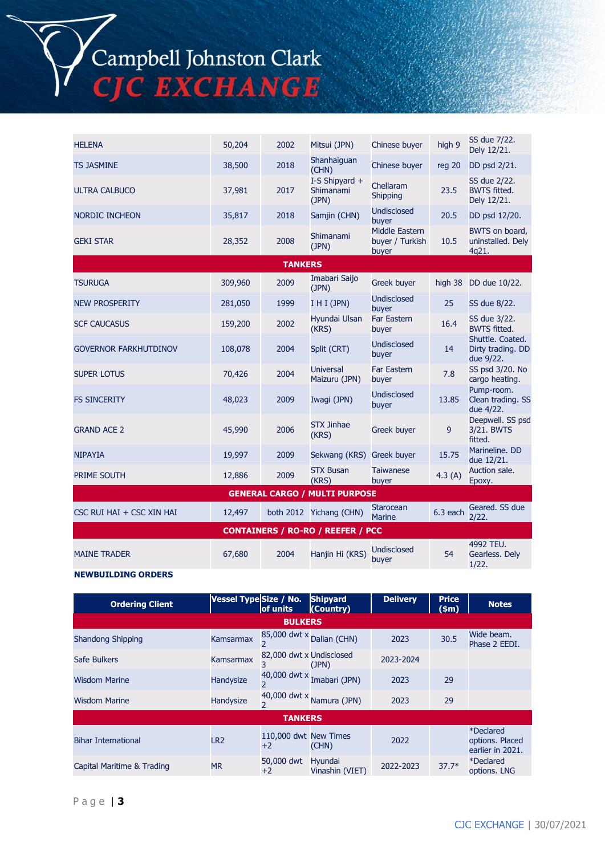Campbell Johnston Clark **EXCHANGE** 

HELENA 50,204 <sup>2002</sup> Mitsui (JPN) Chinese buyer high 9 SS due 7/22. Dely 12/21. TS JASMINE 38,500 2018 Shanhaiguan Chinese buyer reg 20 DD psd 2/21. ULTRA CALBUCO 37,981 2017 I-S Shipyard + Shimanami (JPN) Chellaram Shipping 23.5 SS due 2/22. BWTS fitted. Dely 12/21. NORDIC INCHEON 35,817 2018 Samjin (CHN) Undisclosed 20.5 DD psd 12/20. GEKI STAR 28,352 <sup>2008</sup> Shimanami (JPN) Middle Eastern buyer / Turkish buyer 10.5 BWTS on board, uninstalled. Dely 4q21. **TANKERS** TSURUGA 309,960 <sup>2009</sup> Imabari Saijo Greek buyer high 38 DD due 10/22. NEW PROSPERITY 281,050 1999 I H I (JPN) Undisclosed 25 SS due 8/22. SCF CAUCASUS 159,200 2002 Hyundai Ulsan (KRS) Far Eastern Far Eastern 16.4 SS due 3/22.<br>
buyer 16.4 BWTS fitted. GOVERNOR FARKHUTDINOV 108,078 2004 Split (CRT) Undisclosed buyer 14 Shuttle. Coated. Dirty trading. DD due 9/22. SUPER LOTUS 70,426 2004 Universal Maizuru (JPN) Far Eastern Far Eastern 7.8 SS psd 3/20. No<br>buyer 7.8 cargo heating. cargo heating. FS SINCERITY 48,023 <sup>2009</sup> Iwagi (JPN) Undisclosed Undisclosed<br>buyer 13.85 Pump-room. Clean trading. SS due 4/22. GRAND ACE 2 45,990 2006 STX Jinhae Greek buyer 9 Deepwell. SS psd 3/21. BWTS fitted. NIPAYIA 19,997 19,997 2009 Sekwang (KRS) Greek buyer 15.75 Marineline. DD due 12/21. PRIME SOUTH 12,886 2009 STX Busan (KRS) **Taiwanese** Taiwanese 4.3 (A) Auction sale.<br>buyer 4.3 (A) Epoxy. Epoxy. **GENERAL CARGO / MULTI PURPOSE** CSC RUI HAI + CSC XIN HAI  $12,497$  both 2012 Yichang (CHN) Starocean 6.3 each  $\frac{\text{Geared}}{\text{2.02}}$  SS due 2/22. **CONTAINERS / RO-RO / REEFER / PCC** MAINE TRADER 67,680 2004 Hanjin Hi (KRS) Undisclosed buyer 54 4992 TEU. Gearless. Dely 1/22.

#### **NEWBUILDING ORDERS**

| <b>Ordering Client</b>     | Vessel Type Size / No. | <b>of units</b>          | <b>Shipyard</b><br>(Country) | <b>Delivery</b> | <b>Price</b><br>\$m\$ | <b>Notes</b>                                     |
|----------------------------|------------------------|--------------------------|------------------------------|-----------------|-----------------------|--------------------------------------------------|
|                            |                        | <b>BULKERS</b>           |                              |                 |                       |                                                  |
| Shandong Shipping          | Kamsarmax              |                          | 85,000 dwt x Dalian (CHN)    | 2023            | 30.5                  | Wide beam.<br>Phase 2 EEDI.                      |
| Safe Bulkers               | Kamsarmax              | 82,000 dwt x Undisclosed | (JPN)                        | 2023-2024       |                       |                                                  |
| <b>Wisdom Marine</b>       | Handysize              | $\overline{2}$           | 40,000 dwt $x$ Imabari (JPN) | 2023            | 29                    |                                                  |
| <b>Wisdom Marine</b>       | Handysize              |                          | 40,000 dwt x Namura (JPN)    | 2023            | 29                    |                                                  |
| <b>TANKERS</b>             |                        |                          |                              |                 |                       |                                                  |
| <b>Bihar International</b> | LR <sub>2</sub>        | 110,000 dwt<br>$+2$      | <b>New Times</b><br>(CHN)    | 2022            |                       | *Declared<br>options, Placed<br>earlier in 2021. |
| Capital Maritime & Trading | MR                     | 50,000 dwt<br>$+2$       | Hyundai<br>Vinashin (VIET)   | 2022-2023       | $37.7*$               | <i><b>*Declared</b></i><br>options. LNG          |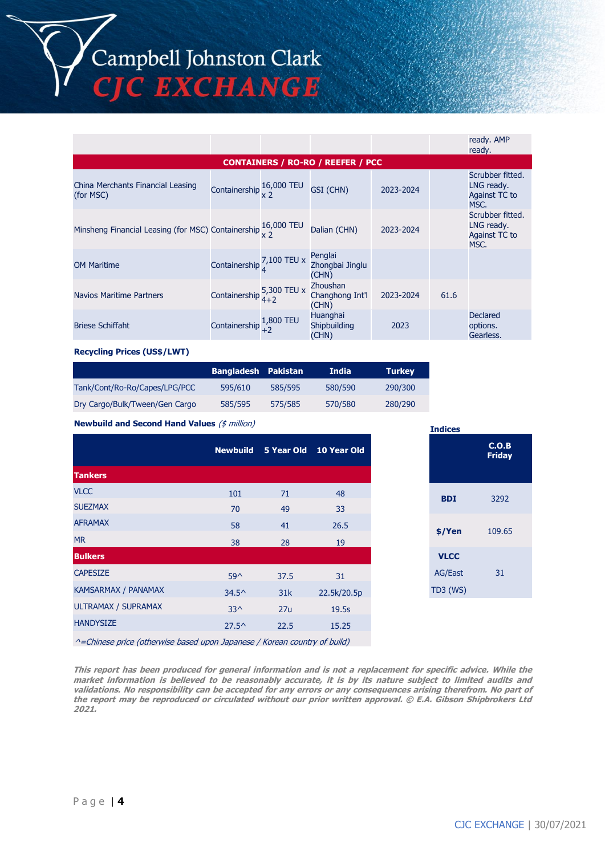Campbell Johnston Clark<br>CJC EXCHANGE

|                                                                           |                                                        |           |                                             |           |      | ready. AMP<br>ready.                                    |
|---------------------------------------------------------------------------|--------------------------------------------------------|-----------|---------------------------------------------|-----------|------|---------------------------------------------------------|
|                                                                           |                                                        |           | <b>CONTAINERS / RO-RO / REEFER / PCC</b>    |           |      |                                                         |
| China Merchants Financial Leasing<br>(for MSC)                            | Containership $\frac{16,000 \text{ TEU}}{x \text{ 2}}$ |           | GSI (CHN)                                   | 2023-2024 |      | Scrubber fitted.<br>LNG ready.<br>Against TC to<br>MSC. |
| Minsheng Financial Leasing (for MSC) Containership $\frac{16,000}{x}$ TEU |                                                        |           | Dalian (CHN)                                | 2023-2024 |      | Scrubber fitted.<br>LNG ready.<br>Against TC to<br>MSC. |
| <b>OM Maritime</b>                                                        | Containership 7,100 TEU x                              |           | Penglai<br>Zhongbai Jinglu<br>(CHN)         |           |      |                                                         |
| Navios Maritime Partners                                                  | Containership $\frac{5,300}{4+2}$ TEU x                |           | <b>Zhoushan</b><br>Changhong Int'l<br>(CHN) | 2023-2024 | 61.6 |                                                         |
| <b>Briese Schiffaht</b>                                                   | Containership $^{1,0}_{+2}$                            | 1,800 TEU | <b>Huanghai</b><br>Shipbuilding<br>(CHN)    | 2023      |      | <b>Declared</b><br>options.<br>Gearless.                |

#### **Recycling Prices (US\$/LWT)**

|                                | <b>Bangladesh Pakistan</b> |         | <b>India</b> | <b>Turkey</b> |
|--------------------------------|----------------------------|---------|--------------|---------------|
| Tank/Cont/Ro-Ro/Capes/LPG/PCC  | 595/610                    | 585/595 | 580/590      | 290/300       |
| Dry Cargo/Bulk/Tween/Gen Cargo | 585/595                    | 575/585 | 570/580      | 280/290       |

**Newbuild and Second Hand Values** (\$ million)

|                     |                |      | Newbuild 5 Year Old 10 Year Old |
|---------------------|----------------|------|---------------------------------|
| <b>Tankers</b>      |                |      |                                 |
| <b>VLCC</b>         | 101            | 71   | 48                              |
| <b>SUEZMAX</b>      | 70             | 49   | 33                              |
| <b>AFRAMAX</b>      | 58             | 41   | 26.5                            |
| <b>MR</b>           | 38             | 28   | 19                              |
| <b>Bulkers</b>      |                |      |                                 |
| <b>CAPESIZE</b>     | $59^{\wedge}$  | 37.5 | 31                              |
| KAMSARMAX / PANAMAX | $34.5^{\circ}$ | 31k  | 22.5k/20.5p                     |
| ULTRAMAX / SUPRAMAX | $33^{\wedge}$  | 27u  | 19.5s                           |
| <b>HANDYSIZE</b>    | $27.5^{\circ}$ | 22.5 | 15.25                           |
|                     |                |      |                                 |

| <b>Indices</b> |                        |
|----------------|------------------------|
|                | C.O.B<br><b>Friday</b> |
| <b>BDI</b>     | 3292                   |
| \$/Yen         | 109.65                 |
| <b>VLCC</b>    |                        |
| <b>AG/East</b> | 31                     |
| TD3 (WS)       |                        |

^=Chinese price (otherwise based upon Japanese / Korean country of build)

**This report has been produced for general information and is not a replacement for specific advice. While the market information is believed to be reasonably accurate, it is by its nature subject to limited audits and validations. No responsibility can be accepted for any errors or any consequences arising therefrom. No part of the report may be reproduced or circulated without our prior written approval. © E.A. Gibson Shipbrokers Ltd 2021.**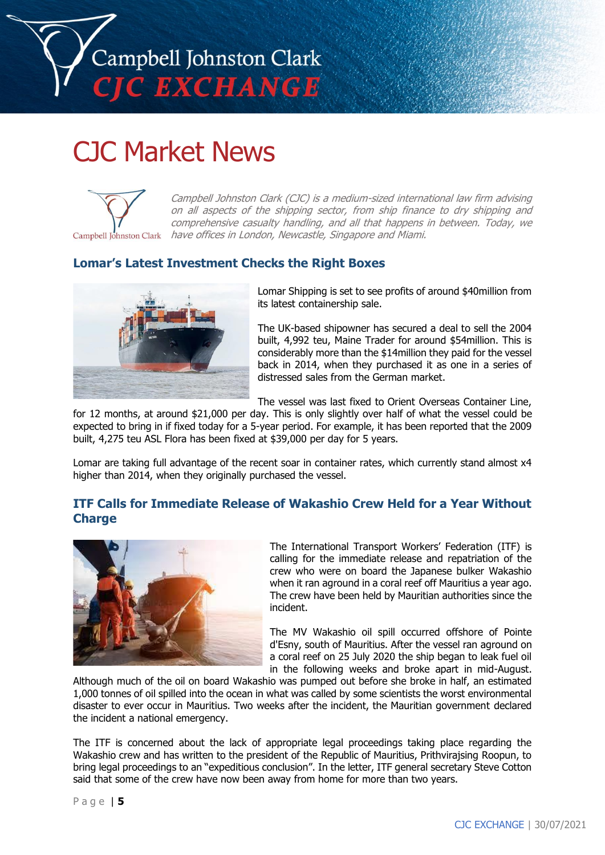

# CJC Market News



Campbell Johnston Clark (CJC) is a medium-sized international law firm advising on all aspects of the shipping sector, from ship finance to dry shipping and comprehensive casualty handling, and all that happens in between. Today, we Campbell Johnston Clark have offices in London, Newcastle, Singapore and Miami.

## **Lomar's Latest Investment Checks the Right Boxes**



Lomar Shipping is set to see profits of around \$40million from its latest containership sale.

The UK-based shipowner has secured a deal to sell the 2004 built, 4,992 teu, Maine Trader for around \$54million. This is considerably more than the \$14million they paid for the vessel back in 2014, when they purchased it as one in a series of distressed sales from the German market.

The vessel was last fixed to Orient Overseas Container Line,

for 12 months, at around \$21,000 per day. This is only slightly over half of what the vessel could be expected to bring in if fixed today for a 5-year period. For example, it has been reported that the 2009 built, 4,275 teu ASL Flora has been fixed at \$39,000 per day for 5 years.

Lomar are taking full advantage of the recent soar in container rates, which currently stand almost x4 higher than 2014, when they originally purchased the vessel.

# **ITF Calls for Immediate Release of Wakashio Crew Held for a Year Without Charge**



The International Transport Workers' Federation (ITF) is calling for the immediate release and repatriation of the crew who were on board the Japanese bulker Wakashio when it ran aground in a coral reef off Mauritius a year ago. The crew have been held by Mauritian authorities since the incident.

The MV Wakashio oil spill occurred offshore of Pointe d'Esny, south of Mauritius. After the vessel ran aground on a coral reef on 25 July 2020 the ship began to leak fuel oil in the following weeks and broke apart in mid-August.

Although much of the oil on board Wakashio was pumped out before she broke in half, an estimated 1,000 tonnes of oil spilled into the ocean in what was called by some scientists the worst environmental disaster to ever occur in Mauritius. Two weeks after the incident, the Mauritian government declared the incident a national emergency.

The ITF is concerned about the lack of appropriate legal proceedings taking place regarding the Wakashio crew and has written to the president of the Republic of Mauritius, Prithvirajsing Roopun, to bring legal proceedings to an "expeditious conclusion". In the letter, ITF general secretary Steve Cotton said that some of the crew have now been away from home for more than two years.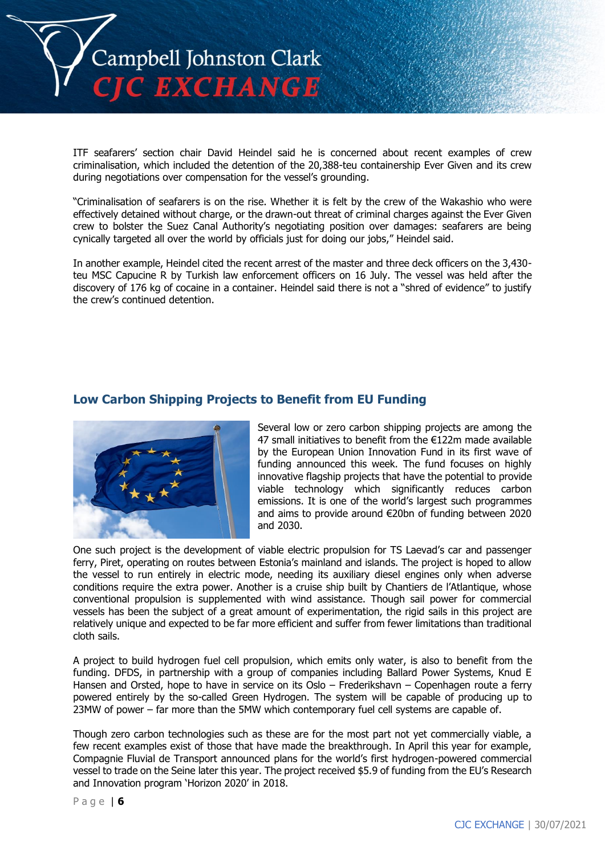

ITF seafarers' section chair David Heindel said he is concerned about recent examples of crew criminalisation, which included the detention of the 20,388-teu containership Ever Given and its crew during negotiations over compensation for the vessel's grounding.

"Criminalisation of seafarers is on the rise. Whether it is felt by the crew of the Wakashio who were effectively detained without charge, or the drawn-out threat of criminal charges against the Ever Given crew to bolster the Suez Canal Authority's negotiating position over damages: seafarers are being cynically targeted all over the world by officials just for doing our jobs," Heindel said.

In another example, Heindel cited the recent arrest of the master and three deck officers on the 3,430 teu MSC Capucine R by Turkish law enforcement officers on 16 July. The vessel was held after the discovery of 176 kg of cocaine in a container. Heindel said there is not a "shred of evidence" to justify the crew's continued detention.

# **Low Carbon Shipping Projects to Benefit from EU Funding**



Several low or zero carbon shipping projects are among the 47 small initiatives to benefit from the €122m made available by the European Union Innovation Fund in its first wave of funding announced this week. The fund focuses on highly innovative flagship projects that have the potential to provide viable technology which significantly reduces carbon emissions. It is one of the world's largest such programmes and aims to provide around €20bn of funding between 2020 and 2030.

One such project is the development of viable electric propulsion for TS Laevad's car and passenger ferry, Piret, operating on routes between Estonia's mainland and islands. The project is hoped to allow the vessel to run entirely in electric mode, needing its auxiliary diesel engines only when adverse conditions require the extra power. Another is a cruise ship built by Chantiers de l'Atlantique, whose conventional propulsion is supplemented with wind assistance. Though sail power for commercial vessels has been the subject of a great amount of experimentation, the rigid sails in this project are relatively unique and expected to be far more efficient and suffer from fewer limitations than traditional cloth sails.

A project to build hydrogen fuel cell propulsion, which emits only water, is also to benefit from the funding. DFDS, in partnership with a group of companies including Ballard Power Systems, Knud E Hansen and Orsted, hope to have in service on its Oslo – Frederikshavn – Copenhagen route a ferry powered entirely by the so-called Green Hydrogen. The system will be capable of producing up to 23MW of power – far more than the 5MW which contemporary fuel cell systems are capable of.

Though zero carbon technologies such as these are for the most part not yet commercially viable, a few recent examples exist of those that have made the breakthrough. In April this year for example, Compagnie Fluvial de Transport announced plans for the world's first hydrogen-powered commercial vessel to trade on the Seine later this year. The project received \$5.9 of funding from the EU's Research and Innovation program 'Horizon 2020' in 2018.